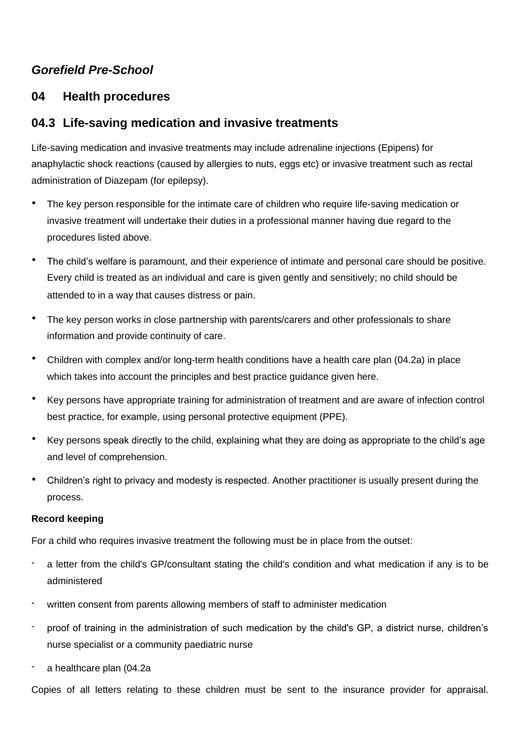# *Gorefield Pre-School*

## **04 Health procedures**

### **04.3 Life-saving medication and invasive treatments**

Life-saving medication and invasive treatments may include adrenaline injections (Epipens) for anaphylactic shock reactions (caused by allergies to nuts, eggs etc) or invasive treatment such as rectal administration of Diazepam (for epilepsy).

- The key person responsible for the intimate care of children who require life-saving medication or invasive treatment will undertake their duties in a professional manner having due regard to the procedures listed above.
- The child's welfare is paramount, and their experience of intimate and personal care should be positive. Every child is treated as an individual and care is given gently and sensitively; no child should be attended to in a way that causes distress or pain.
- The key person works in close partnership with parents/carers and other professionals to share information and provide continuity of care.
- Children with complex and/or long-term health conditions have a health care plan (04.2a) in place which takes into account the principles and best practice guidance given here.
- Key persons have appropriate training for administration of treatment and are aware of infection control best practice, for example, using personal protective equipment (PPE).
- Key persons speak directly to the child, explaining what they are doing as appropriate to the child's age and level of comprehension.
- Children's right to privacy and modesty is respected. Another practitioner is usually present during the process.

#### **Record keeping**

For a child who requires invasive treatment the following must be in place from the outset:

- a letter from the child's GP/consultant stating the child's condition and what medication if any is to be administered
- written consent from parents allowing members of staff to administer medication
- proof of training in the administration of such medication by the child's GP, a district nurse, children's nurse specialist or a community paediatric nurse
- a healthcare plan (04.2a

Copies of all letters relating to these children must be sent to the insurance provider for appraisal.